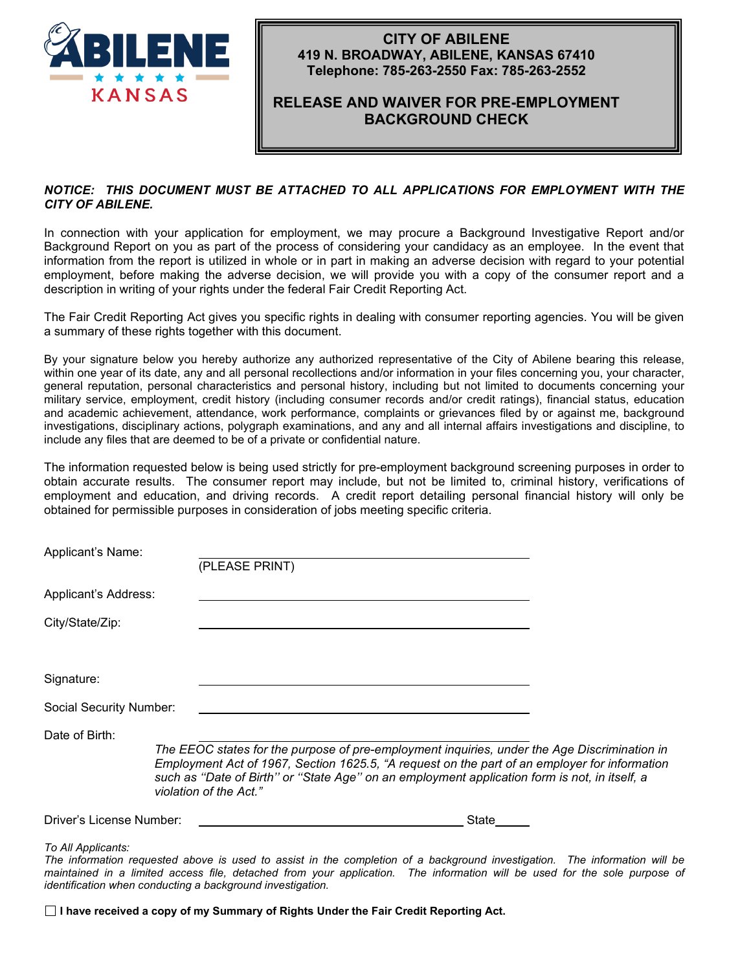

### **CITY OF ABILENE 419 N. BROADWAY, ABILENE, KANSAS 67410 Telephone: 785-263-2550 Fax: 785-263-2552**

## **RELEASE AND WAIVER FOR PRE-EMPLOYMENT BACKGROUND CHECK**

#### *NOTICE: THIS DOCUMENT MUST BE ATTACHED TO ALL APPLICATIONS FOR EMPLOYMENT WITH THE CITY OF ABILENE.*

In connection with your application for employment, we may procure a Background Investigative Report and/or Background Report on you as part of the process of considering your candidacy as an employee. In the event that information from the report is utilized in whole or in part in making an adverse decision with regard to your potential employment, before making the adverse decision, we will provide you with a copy of the consumer report and a description in writing of your rights under the federal Fair Credit Reporting Act.

The Fair Credit Reporting Act gives you specific rights in dealing with consumer reporting agencies. You will be given a summary of these rights together with this document.

By your signature below you hereby authorize any authorized representative of the City of Abilene bearing this release, within one year of its date, any and all personal recollections and/or information in your files concerning you, your character, general reputation, personal characteristics and personal history, including but not limited to documents concerning your military service, employment, credit history (including consumer records and/or credit ratings), financial status, education and academic achievement, attendance, work performance, complaints or grievances filed by or against me, background investigations, disciplinary actions, polygraph examinations, and any and all internal affairs investigations and discipline, to include any files that are deemed to be of a private or confidential nature.

The information requested below is being used strictly for pre-employment background screening purposes in order to obtain accurate results. The consumer report may include, but not be limited to, criminal history, verifications of employment and education, and driving records. A credit report detailing personal financial history will only be obtained for permissible purposes in consideration of jobs meeting specific criteria.

| Applicant's Name:        | (PLEASE PRINT)                                                                                                                                                                                                                                                                                                           |  |
|--------------------------|--------------------------------------------------------------------------------------------------------------------------------------------------------------------------------------------------------------------------------------------------------------------------------------------------------------------------|--|
| Applicant's Address:     |                                                                                                                                                                                                                                                                                                                          |  |
| City/State/Zip:          |                                                                                                                                                                                                                                                                                                                          |  |
| Signature:               |                                                                                                                                                                                                                                                                                                                          |  |
| Social Security Number:  |                                                                                                                                                                                                                                                                                                                          |  |
| Date of Birth:           | The EEOC states for the purpose of pre-employment inquiries, under the Age Discrimination in<br>Employment Act of 1967, Section 1625.5, "A request on the part of an employer for information<br>such as "Date of Birth" or "State Age" on an employment application form is not, in itself, a<br>violation of the Act." |  |
| Driver's License Number: | State                                                                                                                                                                                                                                                                                                                    |  |
| To All Applicants:       | The information requested above is used to assist in the completion of a background investigation. The information will be<br>maintained in a limited access file, detached from your application. The information will be used for the sole purpose of                                                                  |  |

*identification when conducting a background investigation.*

**I have received a copy of my Summary of Rights Under the Fair Credit Reporting Act.**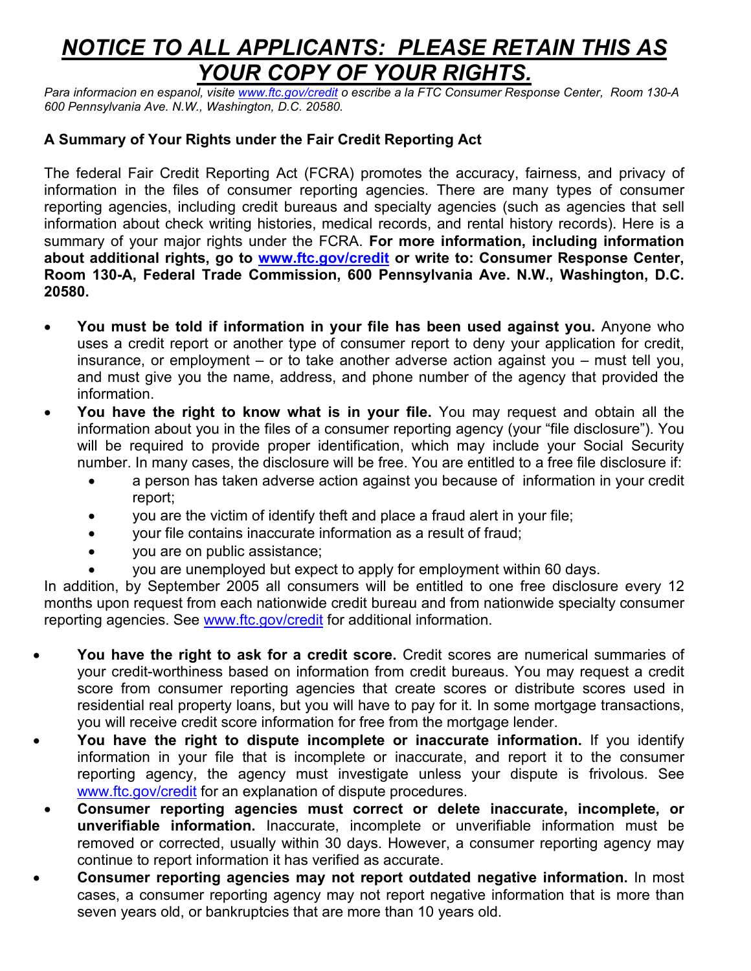# *NOTICE TO ALL APPLICANTS: PLEASE RETAIN THIS AS YOUR COPY OF YOUR RIGHTS.*

*Para informacion en espanol, visite [www.ftc.gov/credit](http://www.ftc.gov/credit) o escribe a la FTC Consumer Response Center, Room 130-A 600 Pennsylvania Ave. N.W., Washington, D.C. 20580.*

## **A Summary of Your Rights under the Fair Credit Reporting Act**

The federal Fair Credit Reporting Act (FCRA) promotes the accuracy, fairness, and privacy of information in the files of consumer reporting agencies. There are many types of consumer reporting agencies, including credit bureaus and specialty agencies (such as agencies that sell information about check writing histories, medical records, and rental history records). Here is a summary of your major rights under the FCRA. **For more information, including information about additional rights, go to [www.ftc.gov/credit](http://www.ftc.gov/credit) or write to: Consumer Response Center, Room 130-A, Federal Trade Commission, 600 Pennsylvania Ave. N.W., Washington, D.C. 20580.**

- **You must be told if information in your file has been used against you.** Anyone who uses a credit report or another type of consumer report to deny your application for credit, insurance, or employment – or to take another adverse action against you – must tell you, and must give you the name, address, and phone number of the agency that provided the information.
- **You have the right to know what is in your file.** You may request and obtain all the information about you in the files of a consumer reporting agency (your "file disclosure"). You will be required to provide proper identification, which may include your Social Security number. In many cases, the disclosure will be free. You are entitled to a free file disclosure if:
	- a person has taken adverse action against you because of information in your credit report;
	- you are the victim of identify theft and place a fraud alert in your file;
	- your file contains inaccurate information as a result of fraud;
	- you are on public assistance;
	- you are unemployed but expect to apply for employment within 60 days.

In addition, by September 2005 all consumers will be entitled to one free disclosure every 12 months upon request from each nationwide credit bureau and from nationwide specialty consumer reporting agencies. See [www.ftc.gov/credit](http://www.ftc.gov/credit) for additional information.

- **You have the right to ask for a credit score.** Credit scores are numerical summaries of your credit-worthiness based on information from credit bureaus. You may request a credit score from consumer reporting agencies that create scores or distribute scores used in residential real property loans, but you will have to pay for it. In some mortgage transactions, you will receive credit score information for free from the mortgage lender.
- **You have the right to dispute incomplete or inaccurate information.** If you identify information in your file that is incomplete or inaccurate, and report it to the consumer reporting agency, the agency must investigate unless your dispute is frivolous. See [www.ftc.gov/credit](http://www.ftc.gov/credit) for an explanation of dispute procedures.
- **Consumer reporting agencies must correct or delete inaccurate, incomplete, or unverifiable information.** Inaccurate, incomplete or unverifiable information must be removed or corrected, usually within 30 days. However, a consumer reporting agency may continue to report information it has verified as accurate.
- **Consumer reporting agencies may not report outdated negative information.** In most cases, a consumer reporting agency may not report negative information that is more than seven years old, or bankruptcies that are more than 10 years old.